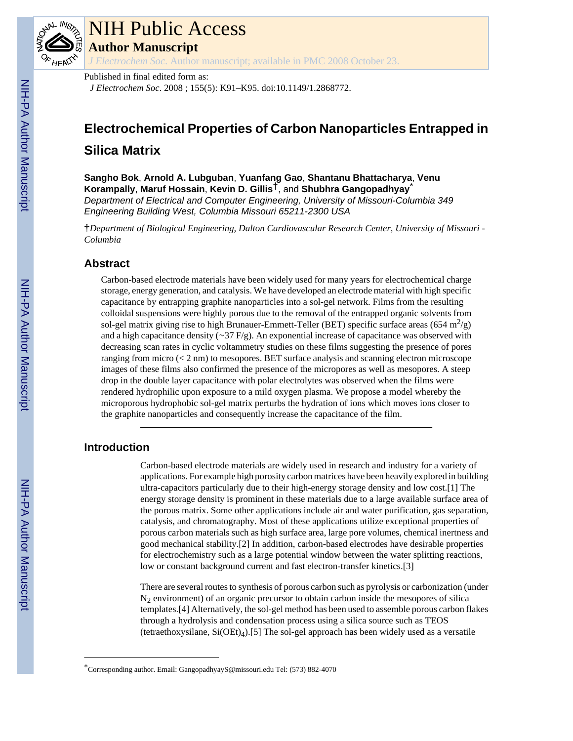

# NIH Public Access

**Author Manuscript**

*J Electrochem Soc*. Author manuscript; available in PMC 2008 October 23.

## Published in final edited form as:

*J Electrochem Soc*. 2008 ; 155(5): K91–K95. doi:10.1149/1.2868772.

## **Electrochemical Properties of Carbon Nanoparticles Entrapped in Silica Matrix**

**Sangho Bok**, **Arnold A. Lubguban**, **Yuanfang Gao**, **Shantanu Bhattacharya**, **Venu Korampally**, **Maruf Hossain**, **Kevin D. Gillis**†, and **Shubhra Gangopadhyay**\* *Department of Electrical and Computer Engineering, University of Missouri-Columbia 349 Engineering Building West, Columbia Missouri 65211-2300 USA*

†*Department of Biological Engineering, Dalton Cardiovascular Research Center, University of Missouri - Columbia*

## **Abstract**

Carbon-based electrode materials have been widely used for many years for electrochemical charge storage, energy generation, and catalysis. We have developed an electrode material with high specific capacitance by entrapping graphite nanoparticles into a sol-gel network. Films from the resulting colloidal suspensions were highly porous due to the removal of the entrapped organic solvents from sol-gel matrix giving rise to high Brunauer-Emmett-Teller (BET) specific surface areas (654 m<sup>2</sup>/g) and a high capacitance density (∼37 F/g). An exponential increase of capacitance was observed with decreasing scan rates in cyclic voltammetry studies on these films suggesting the presence of pores ranging from micro  $( $2 \text{ nm}$ )$  to mesopores. BET surface analysis and scanning electron microscope images of these films also confirmed the presence of the micropores as well as mesopores. A steep drop in the double layer capacitance with polar electrolytes was observed when the films were rendered hydrophilic upon exposure to a mild oxygen plasma. We propose a model whereby the microporous hydrophobic sol-gel matrix perturbs the hydration of ions which moves ions closer to the graphite nanoparticles and consequently increase the capacitance of the film.

## **Introduction**

Carbon-based electrode materials are widely used in research and industry for a variety of applications. For example high porosity carbon matrices have been heavily explored in building ultra-capacitors particularly due to their high-energy storage density and low cost.[1] The energy storage density is prominent in these materials due to a large available surface area of the porous matrix. Some other applications include air and water purification, gas separation, catalysis, and chromatography. Most of these applications utilize exceptional properties of porous carbon materials such as high surface area, large pore volumes, chemical inertness and good mechanical stability.[2] In addition, carbon-based electrodes have desirable properties for electrochemistry such as a large potential window between the water splitting reactions, low or constant background current and fast electron-transfer kinetics.[3]

There are several routes to synthesis of porous carbon such as pyrolysis or carbonization (under  $N<sub>2</sub>$  environment) of an organic precursor to obtain carbon inside the mesopores of silica templates.[4] Alternatively, the sol-gel method has been used to assemble porous carbon flakes through a hydrolysis and condensation process using a silica source such as TEOS (tetraethoxysilane, Si(OEt)4).[5] The sol-gel approach has been widely used as a versatile

<sup>\*</sup>Corresponding author. Email: GangopadhyayS@missouri.edu Tel: (573) 882-4070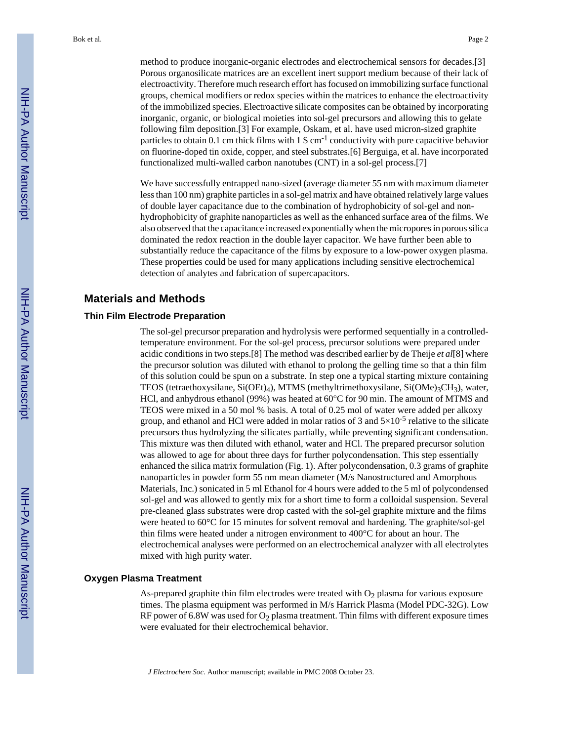method to produce inorganic-organic electrodes and electrochemical sensors for decades.[3] Porous organosilicate matrices are an excellent inert support medium because of their lack of electroactivity. Therefore much research effort has focused on immobilizing surface functional groups, chemical modifiers or redox species within the matrices to enhance the electroactivity of the immobilized species. Electroactive silicate composites can be obtained by incorporating inorganic, organic, or biological moieties into sol-gel precursors and allowing this to gelate following film deposition.[3] For example, Oskam, et al. have used micron-sized graphite particles to obtain 0.1 cm thick films with  $1 S \text{ cm}^{-1}$  conductivity with pure capacitive behavior on fluorine-doped tin oxide, copper, and steel substrates.[6] Berguiga, et al. have incorporated functionalized multi-walled carbon nanotubes (CNT) in a sol-gel process.[7]

We have successfully entrapped nano-sized (average diameter 55 nm with maximum diameter less than 100 nm) graphite particles in a sol-gel matrix and have obtained relatively large values of double layer capacitance due to the combination of hydrophobicity of sol-gel and nonhydrophobicity of graphite nanoparticles as well as the enhanced surface area of the films. We also observed that the capacitance increased exponentially when the micropores in porous silica dominated the redox reaction in the double layer capacitor. We have further been able to substantially reduce the capacitance of the films by exposure to a low-power oxygen plasma. These properties could be used for many applications including sensitive electrochemical detection of analytes and fabrication of supercapacitors.

## **Materials and Methods**

#### **Thin Film Electrode Preparation**

The sol-gel precursor preparation and hydrolysis were performed sequentially in a controlledtemperature environment. For the sol-gel process, precursor solutions were prepared under acidic conditions in two steps.[8] The method was described earlier by de Theije *et al*[8] where the precursor solution was diluted with ethanol to prolong the gelling time so that a thin film of this solution could be spun on a substrate. In step one a typical starting mixture containing TEOS (tetraethoxysilane,  $Si(OEt)_{4}$ ), MTMS (methyltrimethoxysilane,  $Si(OMe)_{3}CH_{3}$ ), water, HCl, and anhydrous ethanol (99%) was heated at 60°C for 90 min. The amount of MTMS and TEOS were mixed in a 50 mol % basis. A total of 0.25 mol of water were added per alkoxy group, and ethanol and HCl were added in molar ratios of 3 and  $5\times10^{-5}$  relative to the silicate precursors thus hydrolyzing the silicates partially, while preventing significant condensation. This mixture was then diluted with ethanol, water and HCl. The prepared precursor solution was allowed to age for about three days for further polycondensation. This step essentially enhanced the silica matrix formulation (Fig. 1). After polycondensation, 0.3 grams of graphite nanoparticles in powder form 55 nm mean diameter (M/s Nanostructured and Amorphous Materials, Inc.) sonicated in 5 ml Ethanol for 4 hours were added to the 5 ml of polycondensed sol-gel and was allowed to gently mix for a short time to form a colloidal suspension. Several pre-cleaned glass substrates were drop casted with the sol-gel graphite mixture and the films were heated to 60°C for 15 minutes for solvent removal and hardening. The graphite/sol-gel thin films were heated under a nitrogen environment to 400°C for about an hour. The electrochemical analyses were performed on an electrochemical analyzer with all electrolytes mixed with high purity water.

#### **Oxygen Plasma Treatment**

As-prepared graphite thin film electrodes were treated with  $O<sub>2</sub>$  plasma for various exposure times. The plasma equipment was performed in M/s Harrick Plasma (Model PDC-32G). Low RF power of 6.8W was used for  $O_2$  plasma treatment. Thin films with different exposure times were evaluated for their electrochemical behavior.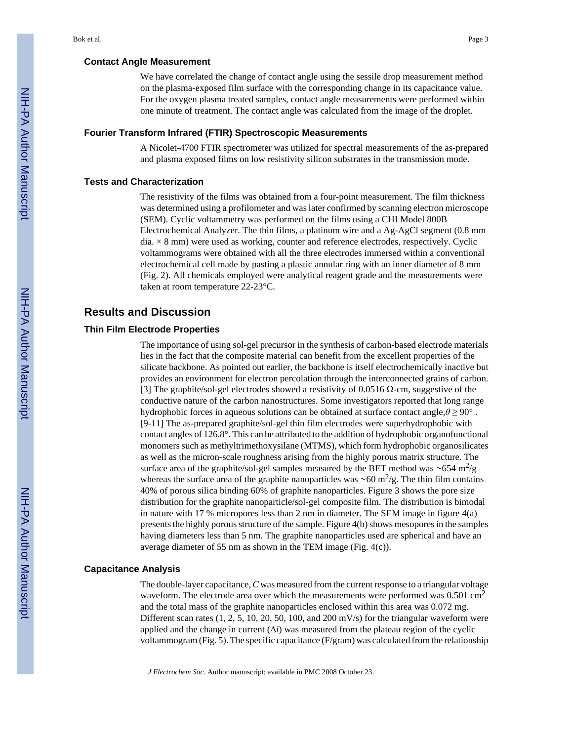#### **Contact Angle Measurement**

We have correlated the change of contact angle using the sessile drop measurement method on the plasma-exposed film surface with the corresponding change in its capacitance value. For the oxygen plasma treated samples, contact angle measurements were performed within one minute of treatment. The contact angle was calculated from the image of the droplet.

#### **Fourier Transform Infrared (FTIR) Spectroscopic Measurements**

A Nicolet-4700 FTIR spectrometer was utilized for spectral measurements of the as-prepared and plasma exposed films on low resistivity silicon substrates in the transmission mode.

#### **Tests and Characterization**

The resistivity of the films was obtained from a four-point measurement. The film thickness was determined using a profilometer and was later confirmed by scanning electron microscope (SEM). Cyclic voltammetry was performed on the films using a CHI Model 800B Electrochemical Analyzer. The thin films, a platinum wire and a Ag-AgCl segment (0.8 mm  $dia. \times 8$  mm) were used as working, counter and reference electrodes, respectively. Cyclic voltammograms were obtained with all the three electrodes immersed within a conventional electrochemical cell made by pasting a plastic annular ring with an inner diameter of 8 mm (Fig. 2). All chemicals employed were analytical reagent grade and the measurements were taken at room temperature 22-23°C.

#### **Results and Discussion**

#### **Thin Film Electrode Properties**

The importance of using sol-gel precursor in the synthesis of carbon-based electrode materials lies in the fact that the composite material can benefit from the excellent properties of the silicate backbone. As pointed out earlier, the backbone is itself electrochemically inactive but provides an environment for electron percolation through the interconnected grains of carbon. [3] The graphite/sol-gel electrodes showed a resistivity of 0.0516 Ω-cm, suggestive of the conductive nature of the carbon nanostructures. Some investigators reported that long range hydrophobic forces in aqueous solutions can be obtained at surface contact angle,*θ* ≥ 90° . [9-11] The as-prepared graphite/sol-gel thin film electrodes were superhydrophobic with contact angles of 126.8°. This can be attributed to the addition of hydrophobic organofunctional monomers such as methyltrimethoxysilane (MTMS), which form hydrophobic organosilicates as well as the micron-scale roughness arising from the highly porous matrix structure. The surface area of the graphite/sol-gel samples measured by the BET method was ~654 m<sup>2</sup>/g whereas the surface area of the graphite nanoparticles was ~60 m<sup>2</sup>/g. The thin film contains 40% of porous silica binding 60% of graphite nanoparticles. Figure 3 shows the pore size distribution for the graphite nanoparticle/sol-gel composite film. The distribution is bimodal in nature with 17 % micropores less than 2 nm in diameter. The SEM image in figure 4(a) presents the highly porous structure of the sample. Figure 4(b) shows mesopores in the samples having diameters less than 5 nm. The graphite nanoparticles used are spherical and have an average diameter of 55 nm as shown in the TEM image (Fig. 4(c)).

#### **Capacitance Analysis**

The double-layer capacitance, *C* was measured from the current response to a triangular voltage waveform. The electrode area over which the measurements were performed was 0.501 cm<sup>2</sup> and the total mass of the graphite nanoparticles enclosed within this area was 0.072 mg. Different scan rates  $(1, 2, 5, 10, 20, 50, 100, \text{ and } 200 \text{ mV/s})$  for the triangular waveform were applied and the change in current  $(\Delta i)$  was measured from the plateau region of the cyclic voltammogram (Fig. 5). The specific capacitance (F/gram) was calculated from the relationship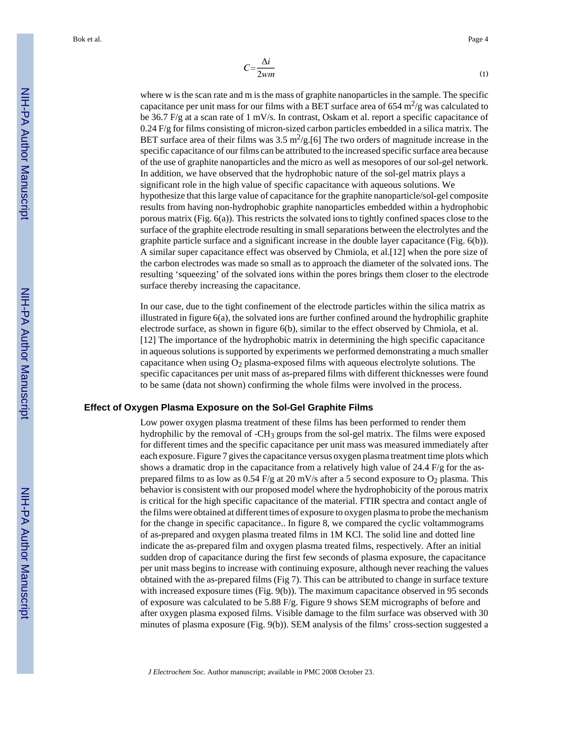where w is the scan rate and m is the mass of graphite nanoparticles in the sample. The specific capacitance per unit mass for our films with a BET surface area of 654 m<sup>2</sup>/g was calculated to be 36.7 F/g at a scan rate of 1 mV/s. In contrast, Oskam et al. report a specific capacitance of 0.24 F/g for films consisting of micron-sized carbon particles embedded in a silica matrix. The BET surface area of their films was  $3.5 \text{ m}^2/\text{g}$ . [6] The two orders of magnitude increase in the specific capacitance of our films can be attributed to the increased specific surface area because of the use of graphite nanoparticles and the micro as well as mesopores of our sol-gel network. In addition, we have observed that the hydrophobic nature of the sol-gel matrix plays a significant role in the high value of specific capacitance with aqueous solutions. We hypothesize that this large value of capacitance for the graphite nanoparticle/sol-gel composite results from having non-hydrophobic graphite nanoparticles embedded within a hydrophobic porous matrix (Fig. 6(a)). This restricts the solvated ions to tightly confined spaces close to the surface of the graphite electrode resulting in small separations between the electrolytes and the graphite particle surface and a significant increase in the double layer capacitance (Fig. 6(b)). A similar super capacitance effect was observed by Chmiola, et al.[12] when the pore size of the carbon electrodes was made so small as to approach the diameter of the solvated ions. The resulting 'squeezing' of the solvated ions within the pores brings them closer to the electrode surface thereby increasing the capacitance.

In our case, due to the tight confinement of the electrode particles within the silica matrix as illustrated in figure 6(a), the solvated ions are further confined around the hydrophilic graphite electrode surface, as shown in figure 6(b), similar to the effect observed by Chmiola, et al. [12] The importance of the hydrophobic matrix in determining the high specific capacitance in aqueous solutions is supported by experiments we performed demonstrating a much smaller capacitance when using  $O_2$  plasma-exposed films with aqueous electrolyte solutions. The specific capacitances per unit mass of as-prepared films with different thicknesses were found to be same (data not shown) confirming the whole films were involved in the process.

#### **Effect of Oxygen Plasma Exposure on the Sol-Gel Graphite Films**

Low power oxygen plasma treatment of these films has been performed to render them hydrophilic by the removal of -CH<sub>3</sub> groups from the sol-gel matrix. The films were exposed for different times and the specific capacitance per unit mass was measured immediately after each exposure. Figure 7 gives the capacitance versus oxygen plasma treatment time plots which shows a dramatic drop in the capacitance from a relatively high value of  $24.4$  F/g for the asprepared films to as low as  $0.54$  F/g at 20 mV/s after a 5 second exposure to  $O_2$  plasma. This behavior is consistent with our proposed model where the hydrophobicity of the porous matrix is critical for the high specific capacitance of the material. FTIR spectra and contact angle of the films were obtained at different times of exposure to oxygen plasma to probe the mechanism for the change in specific capacitance.. In figure 8, we compared the cyclic voltammograms of as-prepared and oxygen plasma treated films in 1M KCl. The solid line and dotted line indicate the as-prepared film and oxygen plasma treated films, respectively. After an initial sudden drop of capacitance during the first few seconds of plasma exposure, the capacitance per unit mass begins to increase with continuing exposure, although never reaching the values obtained with the as-prepared films (Fig 7). This can be attributed to change in surface texture with increased exposure times (Fig. 9(b)). The maximum capacitance observed in 95 seconds of exposure was calculated to be 5.88 F/g. Figure 9 shows SEM micrographs of before and after oxygen plasma exposed films. Visible damage to the film surface was observed with 30 minutes of plasma exposure (Fig. 9(b)). SEM analysis of the films' cross-section suggested a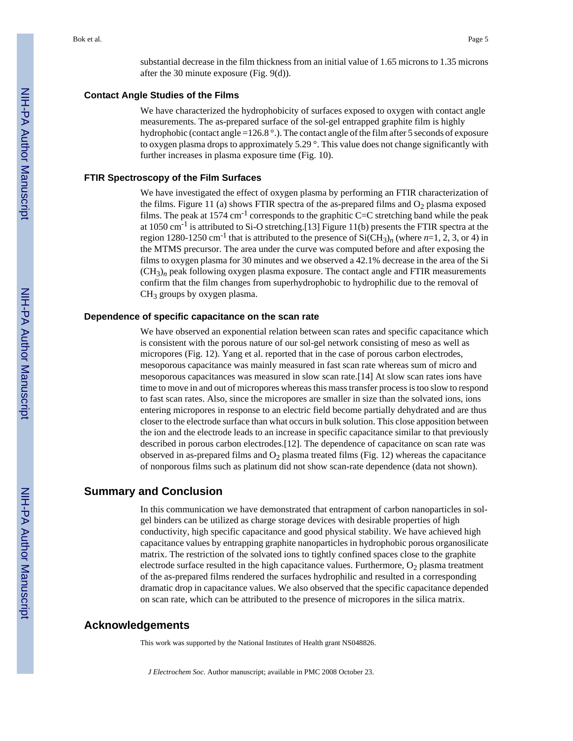substantial decrease in the film thickness from an initial value of 1.65 microns to 1.35 microns after the 30 minute exposure (Fig. 9(d)).

#### **Contact Angle Studies of the Films**

We have characterized the hydrophobicity of surfaces exposed to oxygen with contact angle measurements. The as-prepared surface of the sol-gel entrapped graphite film is highly hydrophobic (contact angle =126.8 °.). The contact angle of the film after 5 seconds of exposure to oxygen plasma drops to approximately 5.29 °. This value does not change significantly with further increases in plasma exposure time (Fig. 10).

#### **FTIR Spectroscopy of the Film Surfaces**

We have investigated the effect of oxygen plasma by performing an FTIR characterization of the films. Figure 11 (a) shows FTIR spectra of the as-prepared films and  $O<sub>2</sub>$  plasma exposed films. The peak at  $1574 \text{ cm}^{-1}$  corresponds to the graphitic C=C stretching band while the peak at 1050 cm-1 is attributed to Si-O stretching.[13] Figure 11(b) presents the FTIR spectra at the region 1280-1250 cm<sup>-1</sup> that is attributed to the presence of  $SiCH<sub>3</sub>$ <sub>n</sub> (where *n*=1, 2, 3, or 4) in the MTMS precursor. The area under the curve was computed before and after exposing the films to oxygen plasma for 30 minutes and we observed a 42.1% decrease in the area of the Si  $(CH<sub>3</sub>)<sub>n</sub>$  peak following oxygen plasma exposure. The contact angle and FTIR measurements confirm that the film changes from superhydrophobic to hydrophilic due to the removal of  $CH<sub>3</sub>$  groups by oxygen plasma.

#### **Dependence of specific capacitance on the scan rate**

We have observed an exponential relation between scan rates and specific capacitance which is consistent with the porous nature of our sol-gel network consisting of meso as well as micropores (Fig. 12). Yang et al. reported that in the case of porous carbon electrodes, mesoporous capacitance was mainly measured in fast scan rate whereas sum of micro and mesoporous capacitances was measured in slow scan rate.[14] At slow scan rates ions have time to move in and out of micropores whereas this mass transfer process is too slow to respond to fast scan rates. Also, since the micropores are smaller in size than the solvated ions, ions entering micropores in response to an electric field become partially dehydrated and are thus closer to the electrode surface than what occurs in bulk solution. This close apposition between the ion and the electrode leads to an increase in specific capacitance similar to that previously described in porous carbon electrodes.[12]. The dependence of capacitance on scan rate was observed in as-prepared films and  $O_2$  plasma treated films (Fig. 12) whereas the capacitance of nonporous films such as platinum did not show scan-rate dependence (data not shown).

## **Summary and Conclusion**

In this communication we have demonstrated that entrapment of carbon nanoparticles in solgel binders can be utilized as charge storage devices with desirable properties of high conductivity, high specific capacitance and good physical stability. We have achieved high capacitance values by entrapping graphite nanoparticles in hydrophobic porous organosilicate matrix. The restriction of the solvated ions to tightly confined spaces close to the graphite electrode surface resulted in the high capacitance values. Furthermore,  $O_2$  plasma treatment of the as-prepared films rendered the surfaces hydrophilic and resulted in a corresponding dramatic drop in capacitance values. We also observed that the specific capacitance depended on scan rate, which can be attributed to the presence of micropores in the silica matrix.

## **Acknowledgements**

This work was supported by the National Institutes of Health grant NS048826.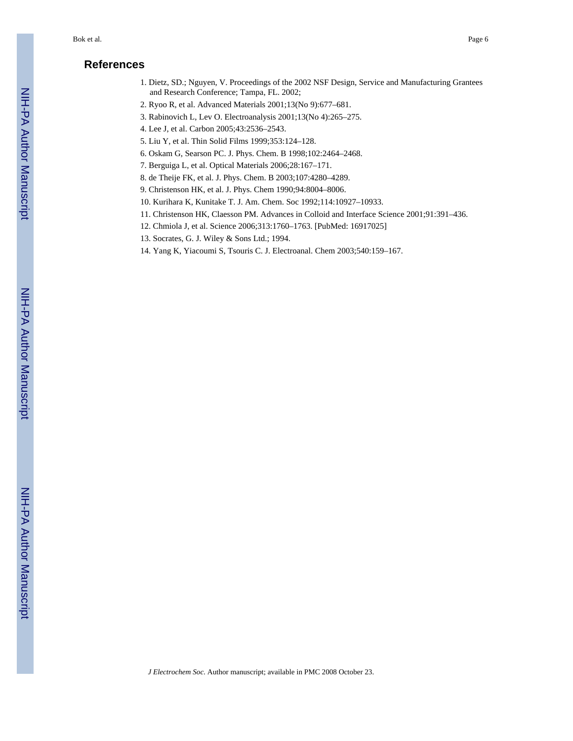## **References**

- 1. Dietz, SD.; Nguyen, V. Proceedings of the 2002 NSF Design, Service and Manufacturing Grantees and Research Conference; Tampa, FL. 2002;
- 2. Ryoo R, et al. Advanced Materials 2001;13(No 9):677–681.
- 3. Rabinovich L, Lev O. Electroanalysis 2001;13(No 4):265–275.
- 4. Lee J, et al. Carbon 2005;43:2536–2543.
- 5. Liu Y, et al. Thin Solid Films 1999;353:124–128.
- 6. Oskam G, Searson PC. J. Phys. Chem. B 1998;102:2464–2468.
- 7. Berguiga L, et al. Optical Materials 2006;28:167–171.
- 8. de Theije FK, et al. J. Phys. Chem. B 2003;107:4280–4289.
- 9. Christenson HK, et al. J. Phys. Chem 1990;94:8004–8006.
- 10. Kurihara K, Kunitake T. J. Am. Chem. Soc 1992;114:10927–10933.
- 11. Christenson HK, Claesson PM. Advances in Colloid and Interface Science 2001;91:391–436.
- 12. Chmiola J, et al. Science 2006;313:1760–1763. [PubMed: 16917025]
- 13. Socrates, G. J. Wiley & Sons Ltd.; 1994.
- 14. Yang K, Yiacoumi S, Tsouris C. J. Electroanal. Chem 2003;540:159–167.

NIH-PA Author Manuscript

NIH-PA Author Manuscript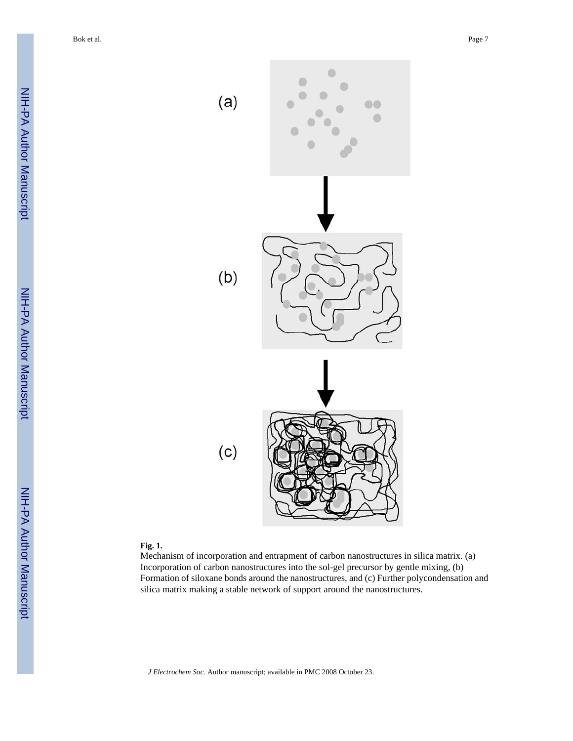

#### **Fig. 1.**

Mechanism of incorporation and entrapment of carbon nanostructures in silica matrix. (a) Incorporation of carbon nanostructures into the sol-gel precursor by gentle mixing, (b) Formation of siloxane bonds around the nanostructures, and (c) Further polycondensation and silica matrix making a stable network of support around the nanostructures.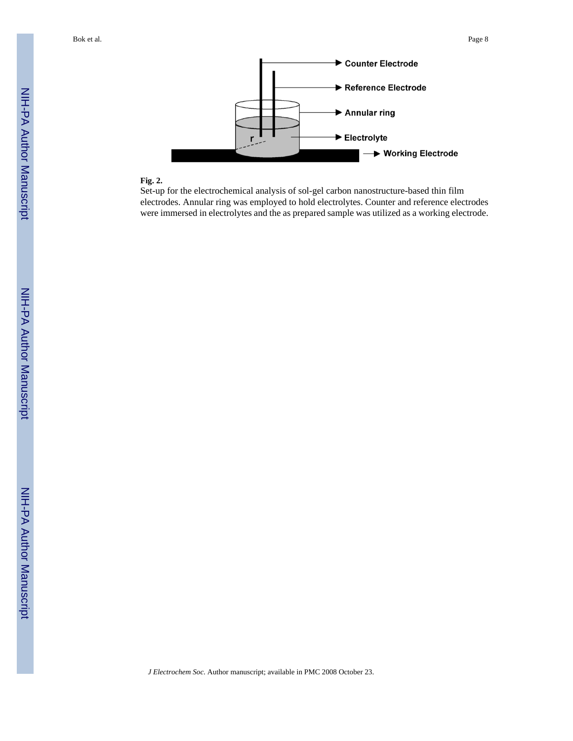

## **Fig. 2.**

Set-up for the electrochemical analysis of sol-gel carbon nanostructure-based thin film electrodes. Annular ring was employed to hold electrolytes. Counter and reference electrodes were immersed in electrolytes and the as prepared sample was utilized as a working electrode.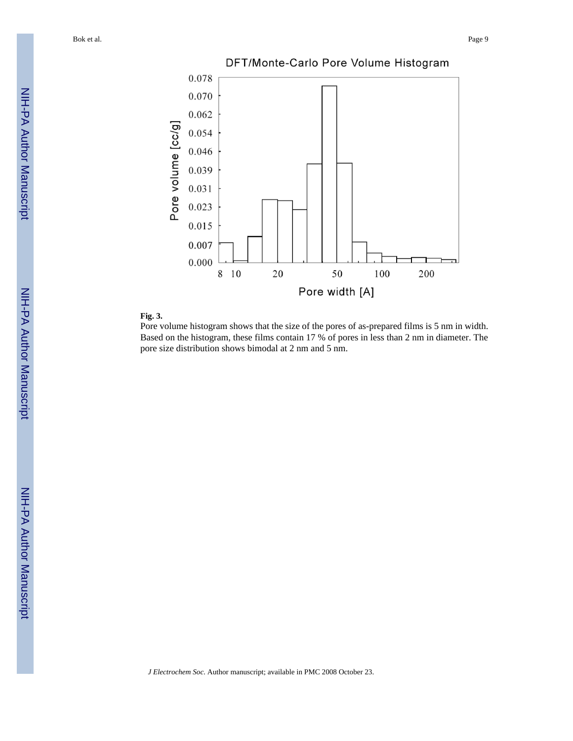

#### **Fig. 3.**

Pore volume histogram shows that the size of the pores of as-prepared films is 5 nm in width. Based on the histogram, these films contain 17 % of pores in less than 2 nm in diameter. The pore size distribution shows bimodal at 2 nm and 5 nm.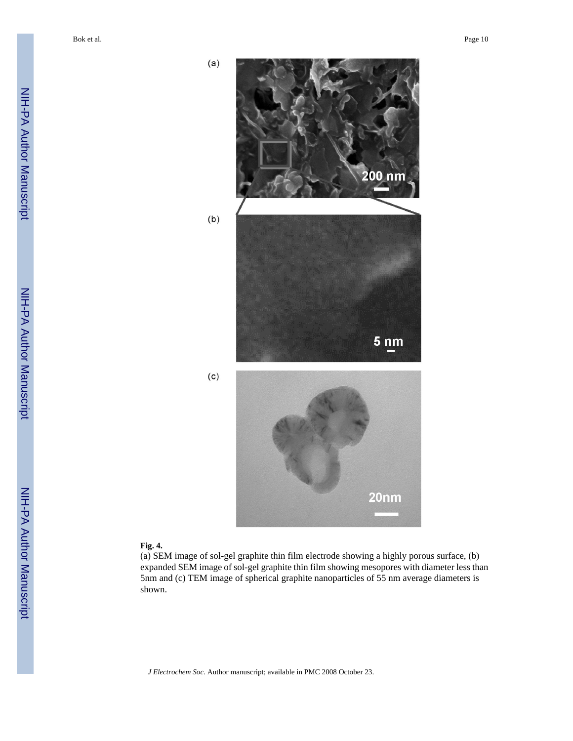NIH-PA Author Manuscript NIH-PA Author Manuscript



#### **Fig. 4.**

(a) SEM image of sol-gel graphite thin film electrode showing a highly porous surface, (b) expanded SEM image of sol-gel graphite thin film showing mesopores with diameter less than 5nm and (c) TEM image of spherical graphite nanoparticles of 55 nm average diameters is shown.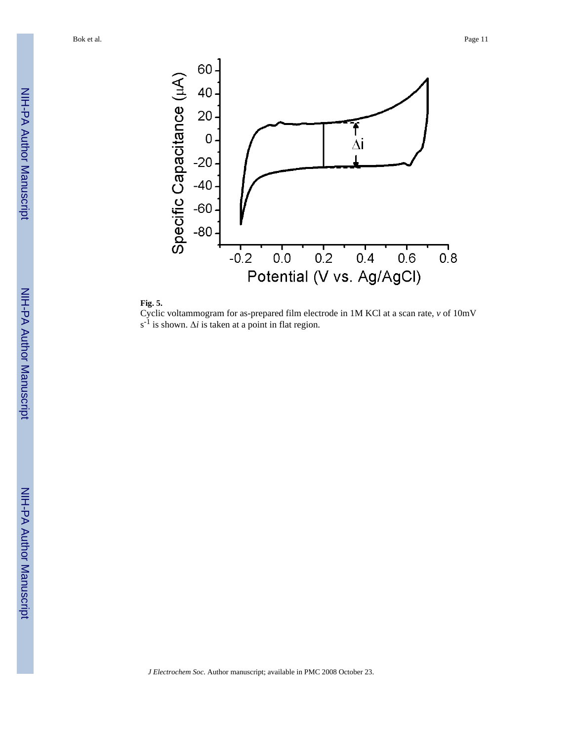



Cyclic voltammogram for as-prepared film electrode in 1M KCl at a scan rate, *v* of 10mV  $s^{-1}$  is shown.  $\Delta i$  is taken at a point in flat region.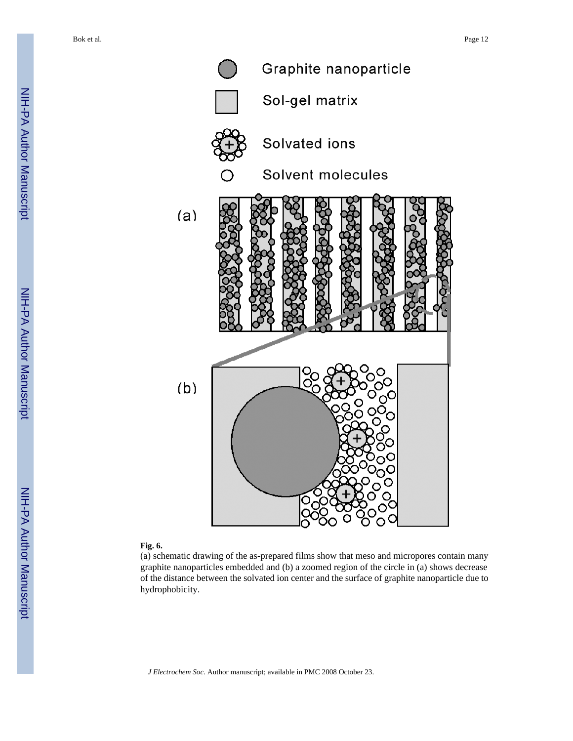

#### **Fig. 6.**

(a) schematic drawing of the as-prepared films show that meso and micropores contain many graphite nanoparticles embedded and (b) a zoomed region of the circle in (a) shows decrease of the distance between the solvated ion center and the surface of graphite nanoparticle due to hydrophobicity.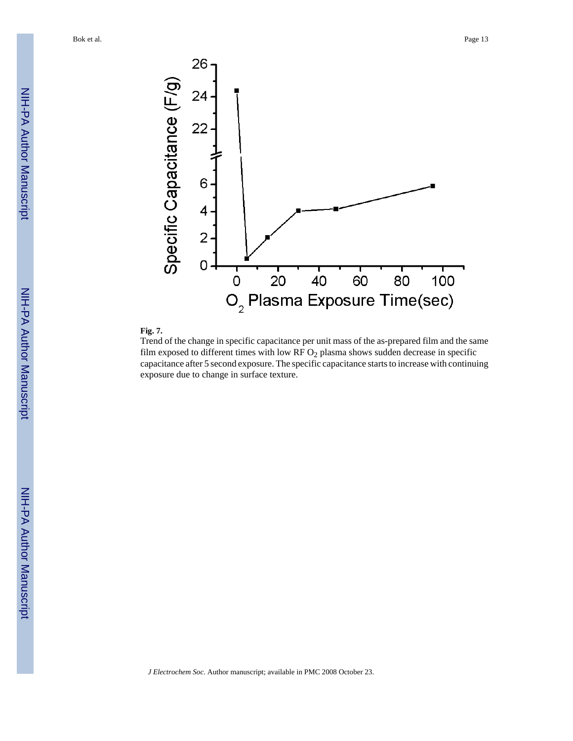



Trend of the change in specific capacitance per unit mass of the as-prepared film and the same film exposed to different times with low RF  $O<sub>2</sub>$  plasma shows sudden decrease in specific capacitance after 5 second exposure. The specific capacitance starts to increase with continuing exposure due to change in surface texture.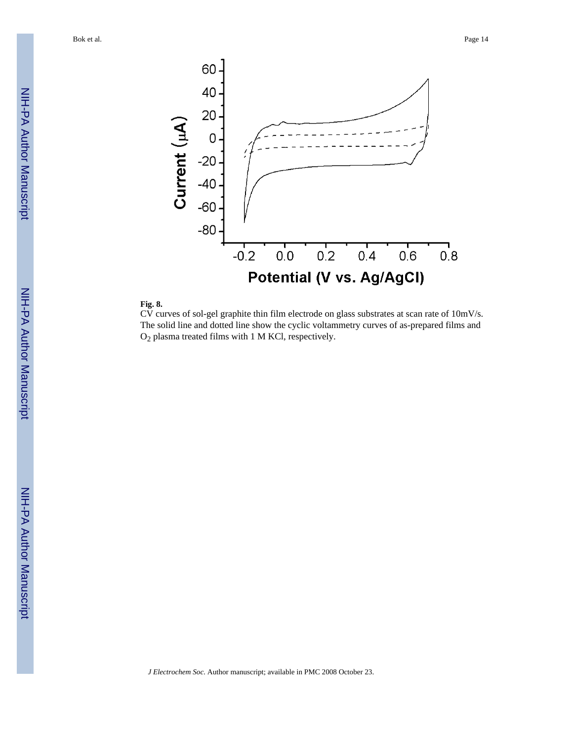

#### **Fig. 8.**

CV curves of sol-gel graphite thin film electrode on glass substrates at scan rate of 10mV/s. The solid line and dotted line show the cyclic voltammetry curves of as-prepared films and O2 plasma treated films with 1 M KCl, respectively.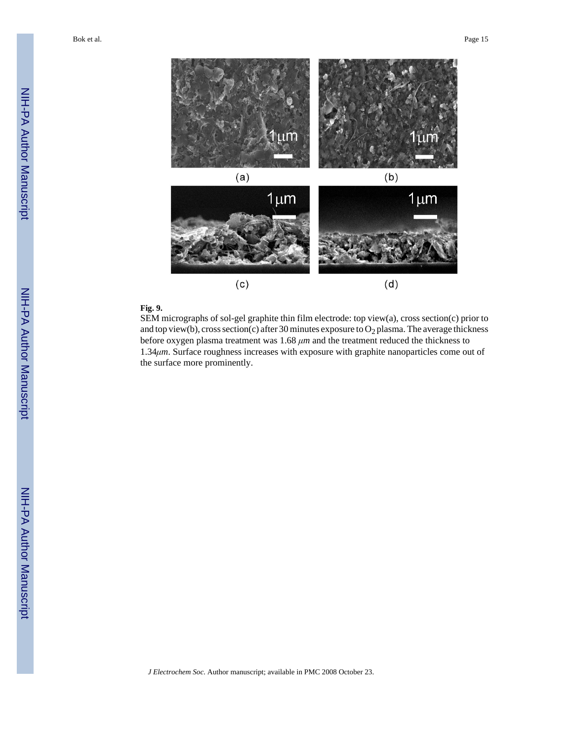

## **Fig. 9.**

SEM micrographs of sol-gel graphite thin film electrode: top view(a), cross section(c) prior to and top view(b), cross section(c) after 30 minutes exposure to  $O_2$  plasma. The average thickness before oxygen plasma treatment was 1.68 *μm* and the treatment reduced the thickness to 1.34*μm*. Surface roughness increases with exposure with graphite nanoparticles come out of the surface more prominently.

*J Electrochem Soc*. Author manuscript; available in PMC 2008 October 23.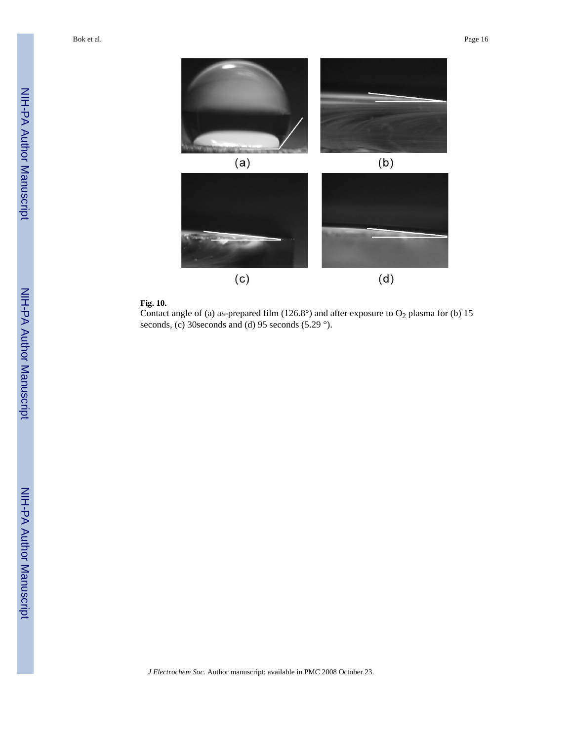

#### **Fig. 10.**

Contact angle of (a) as-prepared film (126.8°) and after exposure to  $O_2$  plasma for (b) 15 seconds, (c) 30 seconds and (d) 95 seconds (5.29 °).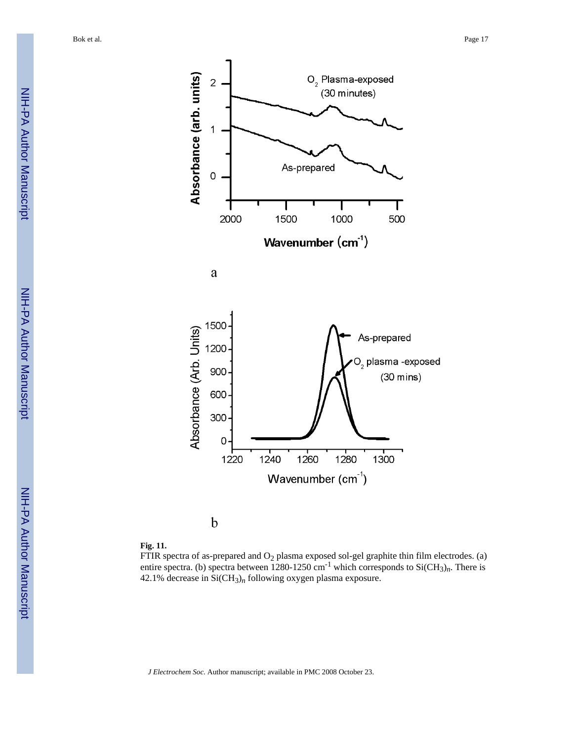

 $\mathbf b$ 

#### **Fig. 11.**

FTIR spectra of as-prepared and  $O_2$  plasma exposed sol-gel graphite thin film electrodes. (a) entire spectra. (b) spectra between 1280-1250 cm<sup>-1</sup> which corresponds to Si(CH<sub>3</sub>)<sub>n</sub>. There is 42.1% decrease in  $SiCH_3$ <sub>n</sub> following oxygen plasma exposure.